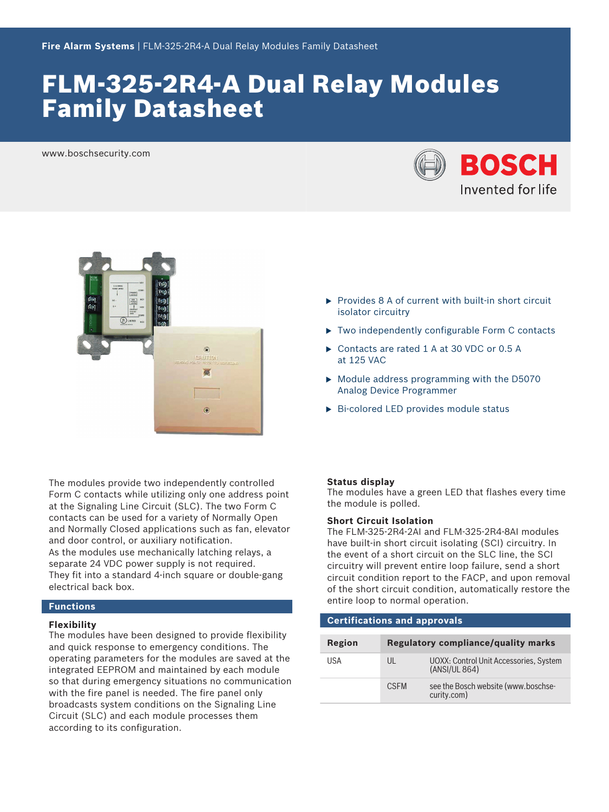# FLM-325-2R4-A Dual Relay Modules Family Datasheet

www.boschsecurity.com





The modules provide two independently controlled Form C contacts while utilizing only one address point at the Signaling Line Circuit (SLC). The two Form C contacts can be used for a variety of Normally Open and Normally Closed applications such as fan, elevator and door control, or auxiliary notification. As the modules use mechanically latching relays, a separate 24 VDC power supply is not required. They fit into a standard 4-inch square or double-gang electrical back box.

# **Functions**

#### **Flexibility**

The modules have been designed to provide flexibility and quick response to emergency conditions. The operating parameters for the modules are saved at the integrated EEPROM and maintained by each module so that during emergency situations no communication with the fire panel is needed. The fire panel only broadcasts system conditions on the Signaling Line Circuit (SLC) and each module processes them according to its configuration.

- $\triangleright$  Provides 8 A of current with built-in short circuit isolator circuitry
- $\triangleright$  Two independently configurable Form C contacts
- ▶ Contacts are rated 1 A at 30 VDC or 0.5 A at 125 VAC
- $\triangleright$  Module address programming with the D5070 Analog Device Programmer
- $\triangleright$  Bi-colored LED provides module status

#### **Status display**

The modules have a green LED that flashes every time the module is polled.

#### **Short Circuit Isolation**

The FLM‑325‑2R4‑2AI and FLM‑325‑2R4‑8AI modules have built-in short circuit isolating (SCI) circuitry. In the event of a short circuit on the SLC line, the SCI circuitry will prevent entire loop failure, send a short circuit condition report to the FACP, and upon removal of the short circuit condition, automatically restore the entire loop to normal operation.

# **Certifications and approvals**

| Region | <b>Regulatory compliance/quality marks</b> |                                                         |
|--------|--------------------------------------------|---------------------------------------------------------|
| USA    | UL                                         | UOXX: Control Unit Accessories, System<br>(ANSI/UL 864) |
|        | <b>CSFM</b>                                | see the Bosch website (www.boschse-<br>curity.com)      |